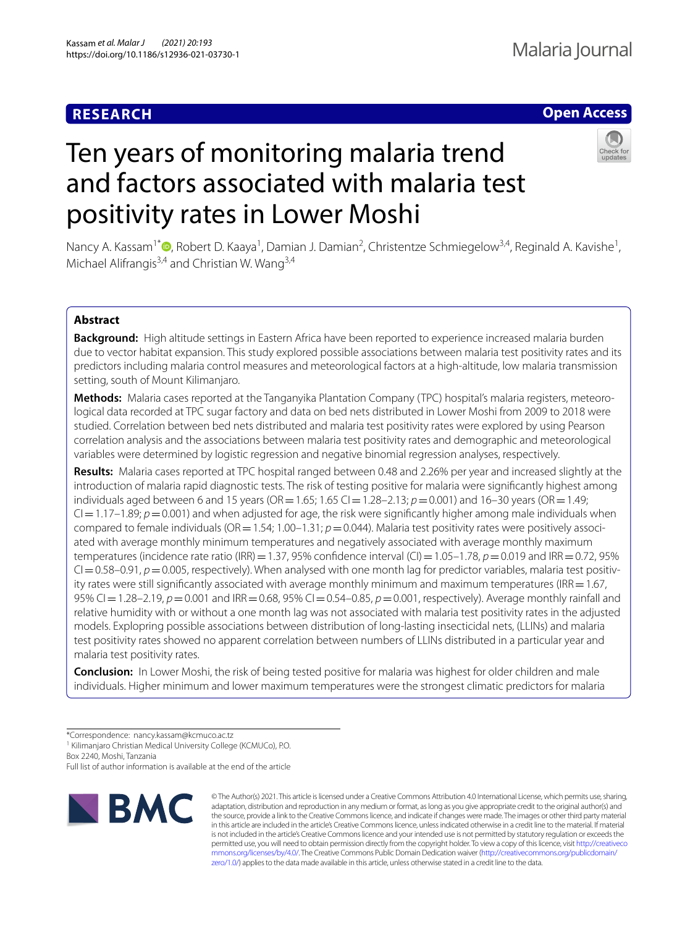# **RESEARCH**

# **Open Access**

# Ten years of monitoring malaria trend and factors associated with malaria test positivity rates in Lower Moshi

Nancy A. Kassam<sup>1\*</sup> <sup>(D</sup>[,](http://orcid.org/0000-0002-0016-8562) Robert D. Kaaya<sup>1</sup>, Damian J. Damian<sup>2</sup>, Christentze Schmiegelow<sup>3,4</sup>, Reginald A. Kavishe<sup>1</sup>, Michael Alifrangis<sup>3,4</sup> and Christian W. Wang<sup>3,4</sup>

# **Abstract**

**Background:** High altitude settings in Eastern Africa have been reported to experience increased malaria burden due to vector habitat expansion. This study explored possible associations between malaria test positivity rates and its predictors including malaria control measures and meteorological factors at a high-altitude, low malaria transmission setting, south of Mount Kilimanjaro.

**Methods:** Malaria cases reported at the Tanganyika Plantation Company (TPC) hospital's malaria registers, meteorological data recorded at TPC sugar factory and data on bed nets distributed in Lower Moshi from 2009 to 2018 were studied. Correlation between bed nets distributed and malaria test positivity rates were explored by using Pearson correlation analysis and the associations between malaria test positivity rates and demographic and meteorological variables were determined by logistic regression and negative binomial regression analyses, respectively.

**Results:** Malaria cases reported at TPC hospital ranged between 0.48 and 2.26% per year and increased slightly at the introduction of malaria rapid diagnostic tests. The risk of testing positive for malaria were signifcantly highest among individuals aged between 6 and 15 years (OR = 1.65; 1.65 CI = 1.28–2.13;  $p = 0.001$ ) and 16–30 years (OR = 1.49;  $Cl = 1.17-1.89$ ;  $p = 0.001$ ) and when adjusted for age, the risk were significantly higher among male individuals when compared to female individuals (OR = 1.54; 1.00–1.31;  $p = 0.044$ ). Malaria test positivity rates were positively associated with average monthly minimum temperatures and negatively associated with average monthly maximum temperatures (incidence rate ratio (IRR) = 1.37, 95% confidence interval (CI) = 1.05–1.78, *p* = 0.019 and IRR = 0.72, 95%  $Cl = 0.58$ –0.91,  $p = 0.005$ , respectively). When analysed with one month lag for predictor variables, malaria test positivity rates were still significantly associated with average monthly minimum and maximum temperatures (IRR  $=1.67$ , 95% CI=1.28–2.19, *p*=0.001 and IRR=0.68, 95% CI=0.54–0.85, *p*=0.001, respectively). Average monthly rainfall and relative humidity with or without a one month lag was not associated with malaria test positivity rates in the adjusted models. Explopring possible associations between distribution of long-lasting insecticidal nets, (LLINs) and malaria test positivity rates showed no apparent correlation between numbers of LLINs distributed in a particular year and malaria test positivity rates.

**Conclusion:** In Lower Moshi, the risk of being tested positive for malaria was highest for older children and male individuals. Higher minimum and lower maximum temperatures were the strongest climatic predictors for malaria

\*Correspondence: nancy.kassam@kcmuco.ac.tz

<sup>1</sup> Kilimanjaro Christian Medical University College (KCMUCo), P.O. Box 2240, Moshi, Tanzania

Full list of author information is available at the end of the article



© The Author(s) 2021. This article is licensed under a Creative Commons Attribution 4.0 International License, which permits use, sharing, adaptation, distribution and reproduction in any medium or format, as long as you give appropriate credit to the original author(s) and the source, provide a link to the Creative Commons licence, and indicate if changes were made. The images or other third party material in this article are included in the article's Creative Commons licence, unless indicated otherwise in a credit line to the material. If material is not included in the article's Creative Commons licence and your intended use is not permitted by statutory regulation or exceeds the permitted use, you will need to obtain permission directly from the copyright holder. To view a copy of this licence, visit [http://creativeco](http://creativecommons.org/licenses/by/4.0/) [mmons.org/licenses/by/4.0/.](http://creativecommons.org/licenses/by/4.0/) The Creative Commons Public Domain Dedication waiver ([http://creativecommons.org/publicdomain/](http://creativecommons.org/publicdomain/zero/1.0/) [zero/1.0/\)](http://creativecommons.org/publicdomain/zero/1.0/) applies to the data made available in this article, unless otherwise stated in a credit line to the data.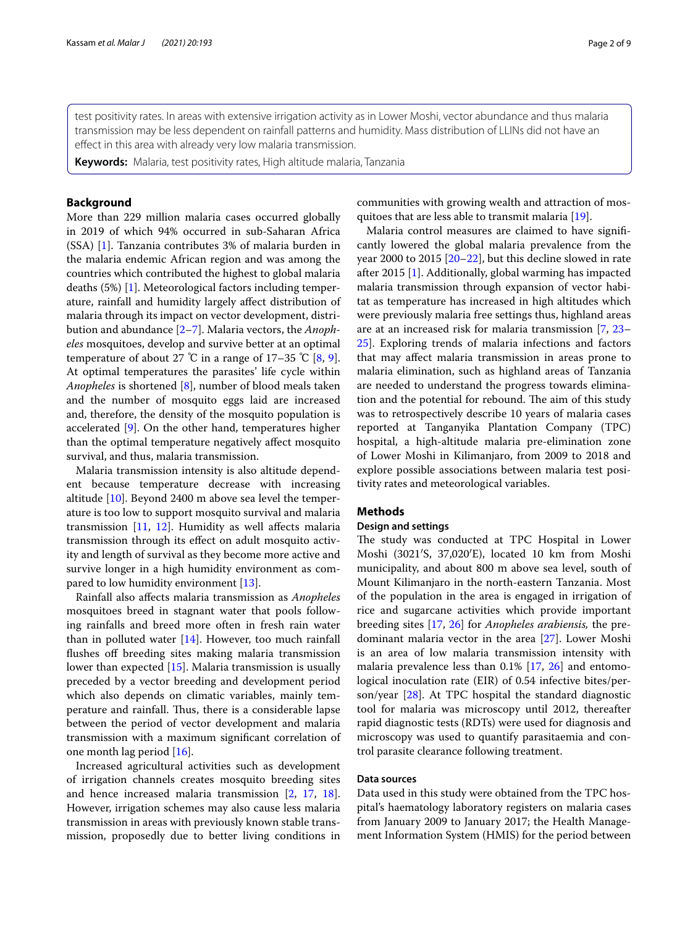test positivity rates. In areas with extensive irrigation activity as in Lower Moshi, vector abundance and thus malaria transmission may be less dependent on rainfall patterns and humidity. Mass distribution of LLINs did not have an effect in this area with already very low malaria transmission.

**Keywords:** Malaria, test positivity rates, High altitude malaria, Tanzania

# **Background**

More than 229 million malaria cases occurred globally in 2019 of which 94% occurred in sub-Saharan Africa (SSA) [\[1](#page-6-0)]. Tanzania contributes 3% of malaria burden in the malaria endemic African region and was among the countries which contributed the highest to global malaria deaths (5%) [\[1](#page-6-0)]. Meteorological factors including temperature, rainfall and humidity largely afect distribution of malaria through its impact on vector development, distribution and abundance [\[2](#page-7-0)[–7\]](#page-7-1). Malaria vectors, the *Anopheles* mosquitoes, develop and survive better at an optimal temperature of about 27 °C in a range of 17–35 °C  $[8, 9]$  $[8, 9]$  $[8, 9]$  $[8, 9]$ . At optimal temperatures the parasites' life cycle within *Anopheles* is shortened [[8\]](#page-7-2), number of blood meals taken and the number of mosquito eggs laid are increased and, therefore, the density of the mosquito population is accelerated [[9\]](#page-7-3). On the other hand, temperatures higher than the optimal temperature negatively afect mosquito survival, and thus, malaria transmission.

Malaria transmission intensity is also altitude dependent because temperature decrease with increasing altitude [[10\]](#page-7-4). Beyond 2400 m above sea level the temperature is too low to support mosquito survival and malaria transmission [[11](#page-7-5), [12\]](#page-7-6). Humidity as well afects malaria transmission through its efect on adult mosquito activity and length of survival as they become more active and survive longer in a high humidity environment as compared to low humidity environment [[13](#page-7-7)].

Rainfall also afects malaria transmission as *Anopheles* mosquitoes breed in stagnant water that pools following rainfalls and breed more often in fresh rain water than in polluted water  $[14]$  $[14]$ . However, too much rainfall flushes off breeding sites making malaria transmission lower than expected [[15\]](#page-7-9). Malaria transmission is usually preceded by a vector breeding and development period which also depends on climatic variables, mainly temperature and rainfall. Thus, there is a considerable lapse between the period of vector development and malaria transmission with a maximum signifcant correlation of one month lag period [\[16\]](#page-7-10).

Increased agricultural activities such as development of irrigation channels creates mosquito breeding sites and hence increased malaria transmission [\[2](#page-7-0), [17](#page-7-11), [18](#page-7-12)]. However, irrigation schemes may also cause less malaria transmission in areas with previously known stable transmission, proposedly due to better living conditions in communities with growing wealth and attraction of mosquitoes that are less able to transmit malaria [\[19](#page-7-13)].

Malaria control measures are claimed to have signifcantly lowered the global malaria prevalence from the year 2000 to 2015 [[20](#page-7-14)[–22](#page-7-15)], but this decline slowed in rate after 2015 [\[1](#page-6-0)]. Additionally, global warming has impacted malaria transmission through expansion of vector habitat as temperature has increased in high altitudes which were previously malaria free settings thus, highland areas are at an increased risk for malaria transmission [[7](#page-7-1), [23–](#page-7-16) [25\]](#page-7-17). Exploring trends of malaria infections and factors that may afect malaria transmission in areas prone to malaria elimination, such as highland areas of Tanzania are needed to understand the progress towards elimination and the potential for rebound. The aim of this study was to retrospectively describe 10 years of malaria cases reported at Tanganyika Plantation Company (TPC) hospital, a high-altitude malaria pre-elimination zone of Lower Moshi in Kilimanjaro, from 2009 to 2018 and explore possible associations between malaria test positivity rates and meteorological variables.

# **Methods**

# **Design and settings**

The study was conducted at TPC Hospital in Lower Moshi (3021′S, 37,020′E), located 10 km from Moshi municipality, and about 800 m above sea level, south of Mount Kilimanjaro in the north-eastern Tanzania. Most of the population in the area is engaged in irrigation of rice and sugarcane activities which provide important breeding sites [\[17,](#page-7-11) [26](#page-7-18)] for *Anopheles arabiensis,* the predominant malaria vector in the area [\[27\]](#page-7-19). Lower Moshi is an area of low malaria transmission intensity with malaria prevalence less than 0.1% [\[17](#page-7-11), [26\]](#page-7-18) and entomological inoculation rate (EIR) of 0.54 infective bites/person/year [\[28\]](#page-7-20). At TPC hospital the standard diagnostic tool for malaria was microscopy until 2012, thereafter rapid diagnostic tests (RDTs) were used for diagnosis and microscopy was used to quantify parasitaemia and control parasite clearance following treatment.

# **Data sources**

Data used in this study were obtained from the TPC hospital's haematology laboratory registers on malaria cases from January 2009 to January 2017; the Health Management Information System (HMIS) for the period between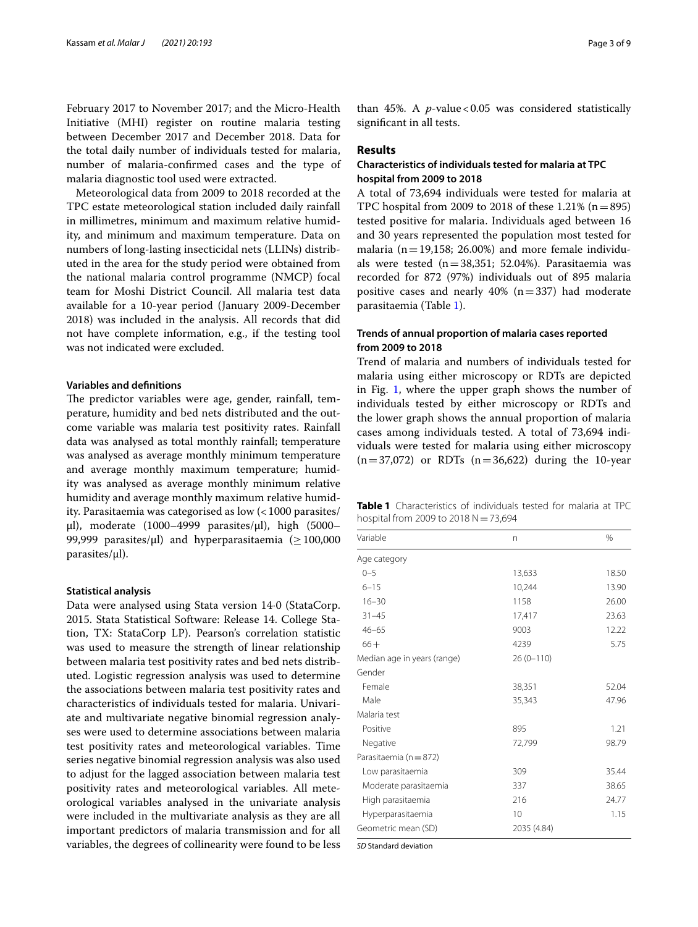February 2017 to November 2017; and the Micro-Health Initiative (MHI) register on routine malaria testing between December 2017 and December 2018. Data for the total daily number of individuals tested for malaria, number of malaria-confrmed cases and the type of malaria diagnostic tool used were extracted.

Meteorological data from 2009 to 2018 recorded at the TPC estate meteorological station included daily rainfall in millimetres, minimum and maximum relative humidity, and minimum and maximum temperature. Data on numbers of long-lasting insecticidal nets (LLINs) distributed in the area for the study period were obtained from the national malaria control programme (NMCP) focal team for Moshi District Council. All malaria test data available for a 10-year period (January 2009-December 2018) was included in the analysis. All records that did not have complete information, e.g., if the testing tool was not indicated were excluded.

# **Variables and defnitions**

The predictor variables were age, gender, rainfall, temperature, humidity and bed nets distributed and the outcome variable was malaria test positivity rates. Rainfall data was analysed as total monthly rainfall; temperature was analysed as average monthly minimum temperature and average monthly maximum temperature; humidity was analysed as average monthly minimum relative humidity and average monthly maximum relative humidity. Parasitaemia was categorised as low  $\left($  < 1000 parasites/ µl), moderate (1000–4999 parasites/µl), high (5000– 99,999 parasites/ $\mu$ l) and hyperparasitaemia ( $\geq 100,000$ parasites/µl).

### **Statistical analysis**

Data were analysed using Stata version 14·0 (StataCorp. 2015. Stata Statistical Software: Release 14. College Station, TX: StataCorp LP). Pearson's correlation statistic was used to measure the strength of linear relationship between malaria test positivity rates and bed nets distributed. Logistic regression analysis was used to determine the associations between malaria test positivity rates and characteristics of individuals tested for malaria. Univariate and multivariate negative binomial regression analyses were used to determine associations between malaria test positivity rates and meteorological variables. Time series negative binomial regression analysis was also used to adjust for the lagged association between malaria test positivity rates and meteorological variables. All meteorological variables analysed in the univariate analysis were included in the multivariate analysis as they are all important predictors of malaria transmission and for all variables, the degrees of collinearity were found to be less

than 45%. A  $p$ -value < 0.05 was considered statistically signifcant in all tests.

# **Results**

# **Characteristics of individuals tested for malaria at TPC hospital from 2009 to 2018**

A total of 73,694 individuals were tested for malaria at TPC hospital from 2009 to 2018 of these  $1.21\%$  (n = 895) tested positive for malaria. Individuals aged between 16 and 30 years represented the population most tested for malaria ( $n=19,158$ ; 26.00%) and more female individuals were tested  $(n=38,351; 52.04%)$ . Parasitaemia was recorded for 872 (97%) individuals out of 895 malaria positive cases and nearly 40%  $(n=337)$  had moderate parasitaemia (Table [1\)](#page-2-0).

# **Trends of annual proportion of malaria cases reported from 2009 to 2018**

Trend of malaria and numbers of individuals tested for malaria using either microscopy or RDTs are depicted in Fig. [1](#page-3-0), where the upper graph shows the number of individuals tested by either microscopy or RDTs and the lower graph shows the annual proportion of malaria cases among individuals tested. A total of 73,694 individuals were tested for malaria using either microscopy  $(n=37,072)$  or RDTs  $(n=36,622)$  during the 10-year

<span id="page-2-0"></span>**Table 1** Characteristics of individuals tested for malaria at TPC hospital from 2009 to 2018  $N=73,694$ 

| Variable                    | n           | $\%$  |
|-----------------------------|-------------|-------|
| Age category                |             |       |
| $0 - 5$                     | 13,633      | 18.50 |
| $6 - 15$                    | 10,244      | 13.90 |
| $16 - 30$                   | 1158        | 26.00 |
| $31 - 45$                   | 17,417      | 23.63 |
| $46 - 65$                   | 9003        | 12.22 |
| $66 +$                      | 4239        | 5.75  |
| Median age in years (range) | $26(0-110)$ |       |
| Gender                      |             |       |
| Female                      | 38,351      | 52.04 |
| Male                        | 35,343      | 47.96 |
| Malaria test                |             |       |
| Positive                    | 895         | 1.21  |
| Negative                    | 72,799      | 98.79 |
| Parasitaemia (n = 872)      |             |       |
| Low parasitaemia            | 309         | 35.44 |
| Moderate parasitaemia       | 337         | 38.65 |
| High parasitaemia           | 216         | 24.77 |
| Hyperparasitaemia           | 10          | 1.15  |
| Geometric mean (SD)         | 2035 (4.84) |       |

*SD* Standard deviation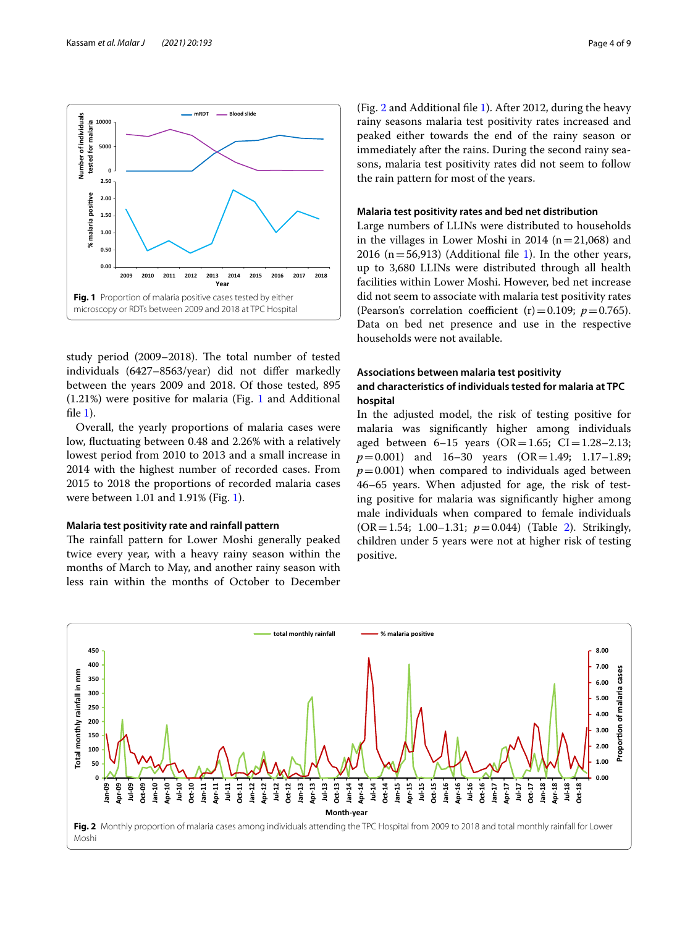fle [1](#page-6-1)).

(Fig. [2](#page-3-1) and Additional fle [1\)](#page-6-1). After 2012, during the heavy rainy seasons malaria test positivity rates increased and peaked either towards the end of the rainy season or immediately after the rains. During the second rainy seasons, malaria test positivity rates did not seem to follow the rain pattern for most of the years.

# **Malaria test positivity rates and bed net distribution**

Large numbers of LLINs were distributed to households in the villages in Lower Moshi in 2014 ( $n=21,068$ ) and 2016 ( $n=56,913$ ) (Additional file [1\)](#page-6-1). In the other years, up to 3,680 LLINs were distributed through all health facilities within Lower Moshi. However, bed net increase did not seem to associate with malaria test positivity rates (Pearson's correlation coefficient  $(r) = 0.109$ ;  $p = 0.765$ ). Data on bed net presence and use in the respective households were not available.

# **Associations between malaria test positivity and characteristics of individuals tested for malaria at TPC hospital**

In the adjusted model, the risk of testing positive for malaria was signifcantly higher among individuals aged between  $6-15$  years  $(OR = 1.65; CI = 1.28-2.13;$ *p*=0.001) and 16-30 vears (OR=1.49; 1.17-1.89;  $p=0.001$ ) when compared to individuals aged between 46–65 years. When adjusted for age, the risk of testing positive for malaria was signifcantly higher among male individuals when compared to female individuals (OR=1.54; 1.00–1.31; *p*=0.044) (Table [2](#page-4-0)). Strikingly, children under 5 years were not at higher risk of testing positive.

<span id="page-3-1"></span>



<span id="page-3-0"></span>study period (2009–2018). The total number of tested individuals (6427–8563/year) did not difer markedly between the years 2009 and 2018. Of those tested, 895 (1.21%) were positive for malaria (Fig. [1](#page-3-0) and Additional

Overall, the yearly proportions of malaria cases were low, fuctuating between 0.48 and 2.26% with a relatively lowest period from 2010 to 2013 and a small increase in 2014 with the highest number of recorded cases. From 2015 to 2018 the proportions of recorded malaria cases

The rainfall pattern for Lower Moshi generally peaked twice every year, with a heavy rainy season within the months of March to May, and another rainy season with less rain within the months of October to December

were between 1.01 and 1.91% (Fig. [1](#page-3-0)).

**Malaria test positivity rate and rainfall pattern**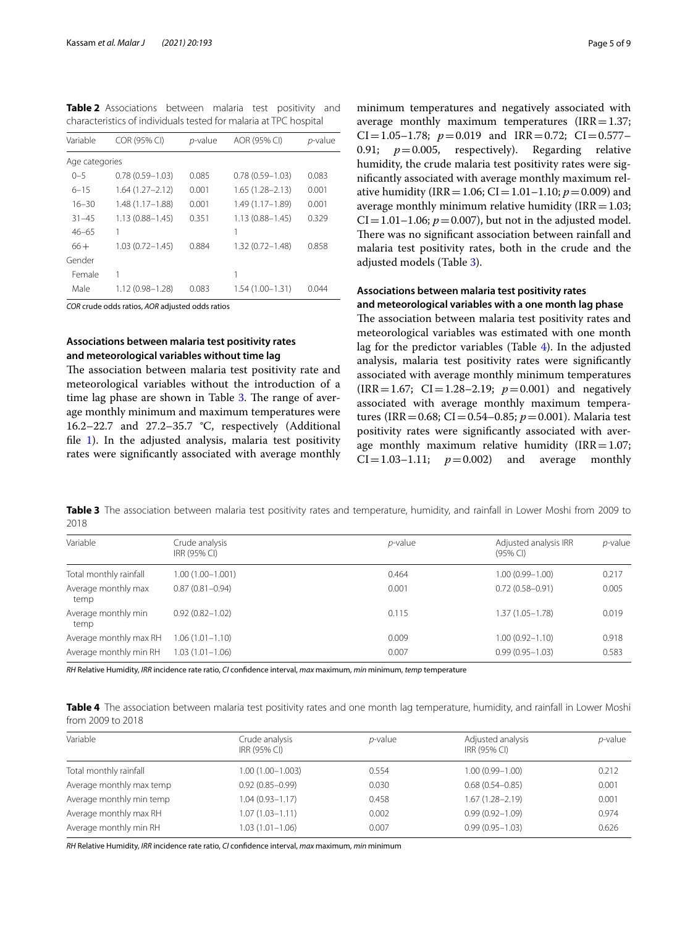<span id="page-4-0"></span>**Table 2** Associations between malaria test positivity and characteristics of individuals tested for malaria at TPC hospital

| Variable       | COR (95% CI)        | $p$ -value | AOR (95% CI)        | p-value |
|----------------|---------------------|------------|---------------------|---------|
| Age categories |                     |            |                     |         |
| $0 - 5$        | $0.78(0.59 - 1.03)$ | 0.085      | $0.78(0.59 - 1.03)$ | 0.083   |
| $6 - 15$       | $1.64(1.27 - 2.12)$ | 0.001      | $1.65(1.28 - 2.13)$ | 0.001   |
| $16 - 30$      | $1.48(1.17 - 1.88)$ | 0.001      | 1.49 (1.17-1.89)    | 0.001   |
| $31 - 45$      | $1.13(0.88 - 1.45)$ | 0.351      | $1.13(0.88 - 1.45)$ | 0.329   |
| $46 - 65$      |                     |            | 1                   |         |
| $66+$          | $1.03(0.72 - 1.45)$ | 0.884      | $1.32(0.72 - 1.48)$ | 0.858   |
| Gender         |                     |            |                     |         |
| Female         | 1                   |            | 1                   |         |
| Male           | 1.12 (0.98-1.28)    | 0.083      | $1.54(1.00 - 1.31)$ | 0.044   |

*COR* crude odds ratios, *AOR* adjusted odds ratios

# **Associations between malaria test positivity rates and meteorological variables without time lag**

The association between malaria test positivity rate and meteorological variables without the introduction of a time lag phase are shown in Table  $3$ . The range of average monthly minimum and maximum temperatures were 16.2–22.7 and 27.2–35.7 °C, respectively (Additional file [1\)](#page-6-1). In the adjusted analysis, malaria test positivity rates were signifcantly associated with average monthly minimum temperatures and negatively associated with average monthly maximum temperatures  $(IRR=1.37;$ CI=1.05–1.78;  $p=0.019$  and IRR=0.72; CI=0.577– 0.91;  $p=0.005$ , respectively). Regarding relative humidity, the crude malaria test positivity rates were signifcantly associated with average monthly maximum relative humidity (IRR = 1.06; CI = 1.01–1.10;  $p = 0.009$ ) and average monthly minimum relative humidity ( $IRR=1.03$ ;  $CI = 1.01 - 1.06$ ;  $p = 0.007$ ), but not in the adjusted model. There was no significant association between rainfall and malaria test positivity rates, both in the crude and the adjusted models (Table [3](#page-4-1)).

# **Associations between malaria test positivity rates**

**and meteorological variables with a one month lag phase** The association between malaria test positivity rates and meteorological variables was estimated with one month lag for the predictor variables (Table [4\)](#page-4-2). In the adjusted analysis, malaria test positivity rates were signifcantly associated with average monthly minimum temperatures  $(IRR = 1.67; CI = 1.28 - 2.19; p = 0.001)$  and negatively associated with average monthly maximum temperatures (IRR=0.68; CI=0.54–0.85; *p*=0.001). Malaria test positivity rates were signifcantly associated with average monthly maximum relative humidity (IRR = 1.07;<br>CI = 1.03-1.11;  $p = 0.002$ ) and average monthly  $CI = 1.03 - 1.11; \quad p = 0.002$ 

<span id="page-4-1"></span>**Table 3** The association between malaria test positivity rates and temperature, humidity, and rainfall in Lower Moshi from 2009 to 2018

| Variable                    | Crude analysis<br>IRR (95% CI) | $p$ -value | Adjusted analysis IRR<br>$(95%$ CI) | <i>p</i> -value |
|-----------------------------|--------------------------------|------------|-------------------------------------|-----------------|
| Total monthly rainfall      | 1.00 (1.00-1.001)              | 0.464      | $1.00(0.99 - 1.00)$                 | 0.217           |
| Average monthly max<br>temp | $0.87(0.81 - 0.94)$            | 0.001      | $0.72(0.58 - 0.91)$                 | 0.005           |
| Average monthly min<br>temp | $0.92(0.82 - 1.02)$            | 0.115      | $1.37(1.05 - 1.78)$                 | 0.019           |
| Average monthly max RH      | $1.06(1.01 - 1.10)$            | 0.009      | $1.00(0.92 - 1.10)$                 | 0.918           |
| Average monthly min RH      | $1.03(1.01 - 1.06)$            | 0.007      | $0.99(0.95 - 1.03)$                 | 0.583           |

*RH* Relative Humidity, *IRR* incidence rate ratio, *CI* confdence interval, *max* maximum, *min* minimum, *temp* temperature

<span id="page-4-2"></span>**Table 4** The association between malaria test positivity rates and one month lag temperature, humidity, and rainfall in Lower Moshi from 2009 to 2018

| Variable                 | Crude analysis<br>IRR (95% CI) | <i>p</i> -value | Adjusted analysis<br>IRR (95% CI) | $p$ -value |
|--------------------------|--------------------------------|-----------------|-----------------------------------|------------|
|                          |                                |                 |                                   |            |
| Total monthly rainfall   | 1.00 (1.00-1.003)              | 0.554           | $1.00(0.99 - 1.00)$               | 0.212      |
| Average monthly max temp | $0.92(0.85 - 0.99)$            | 0.030           | $0.68(0.54 - 0.85)$               | 0.001      |
| Average monthly min temp | $1.04(0.93 - 1.17)$            | 0.458           | $1.67(1.28 - 2.19)$               | 0.001      |
| Average monthly max RH   | $1.07(1.03 - 1.11)$            | 0.002           | $0.99(0.92 - 1.09)$               | 0.974      |
| Average monthly min RH   | $1.03(1.01 - 1.06)$            | 0.007           | $0.99(0.95 - 1.03)$               | 0.626      |

*RH* Relative Humidity, *IRR* incidence rate ratio, *CI* confdence interval, *max* maximum, *min* minimum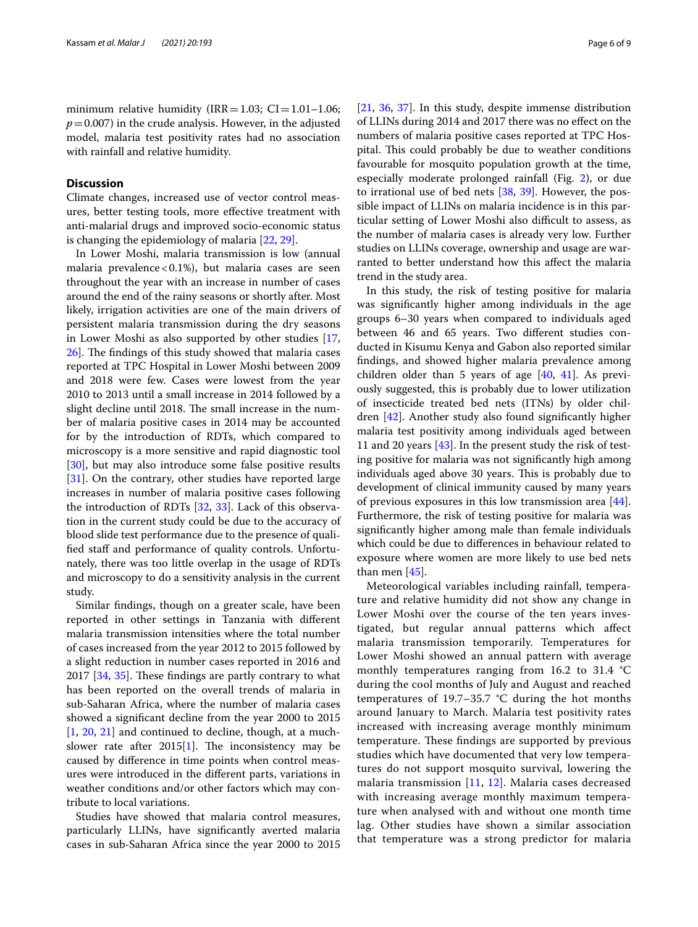minimum relative humidity (IRR = 1.03; CI = 1.01–1.06;  $p=0.007$ ) in the crude analysis. However, in the adjusted model, malaria test positivity rates had no association with rainfall and relative humidity.

# **Discussion**

Climate changes, increased use of vector control measures, better testing tools, more efective treatment with anti-malarial drugs and improved socio-economic status is changing the epidemiology of malaria [[22](#page-7-15), [29\]](#page-7-21).

In Lower Moshi, malaria transmission is low (annual malaria prevalence <  $0.1\%$ ), but malaria cases are seen throughout the year with an increase in number of cases around the end of the rainy seasons or shortly after. Most likely, irrigation activities are one of the main drivers of persistent malaria transmission during the dry seasons in Lower Moshi as also supported by other studies [\[17](#page-7-11), [26\]](#page-7-18). The findings of this study showed that malaria cases reported at TPC Hospital in Lower Moshi between 2009 and 2018 were few. Cases were lowest from the year 2010 to 2013 until a small increase in 2014 followed by a slight decline until 2018. The small increase in the number of malaria positive cases in 2014 may be accounted for by the introduction of RDTs, which compared to microscopy is a more sensitive and rapid diagnostic tool [[30\]](#page-7-22), but may also introduce some false positive results [[31\]](#page-7-23). On the contrary, other studies have reported large increases in number of malaria positive cases following the introduction of RDTs [[32,](#page-7-24) [33\]](#page-7-25). Lack of this observation in the current study could be due to the accuracy of blood slide test performance due to the presence of qualified staff and performance of quality controls. Unfortunately, there was too little overlap in the usage of RDTs and microscopy to do a sensitivity analysis in the current study.

Similar fndings, though on a greater scale, have been reported in other settings in Tanzania with diferent malaria transmission intensities where the total number of cases increased from the year 2012 to 2015 followed by a slight reduction in number cases reported in 2016 and  $2017$  [ $34$ ,  $35$ ]. These findings are partly contrary to what has been reported on the overall trends of malaria in sub-Saharan Africa, where the number of malaria cases showed a signifcant decline from the year 2000 to 2015  $[1, 20, 21]$  $[1, 20, 21]$  $[1, 20, 21]$  $[1, 20, 21]$  $[1, 20, 21]$  $[1, 20, 21]$  $[1, 20, 21]$  and continued to decline, though, at a muchslower rate after  $2015[1]$  $2015[1]$ . The inconsistency may be caused by diference in time points when control measures were introduced in the diferent parts, variations in weather conditions and/or other factors which may contribute to local variations.

Studies have showed that malaria control measures, particularly LLINs, have signifcantly averted malaria cases in sub-Saharan Africa since the year 2000 to 2015 [[21,](#page-7-28) [36](#page-7-29), [37](#page-7-30)]. In this study, despite immense distribution of LLINs during 2014 and 2017 there was no efect on the numbers of malaria positive cases reported at TPC Hospital. This could probably be due to weather conditions favourable for mosquito population growth at the time, especially moderate prolonged rainfall (Fig. [2\)](#page-3-1), or due to irrational use of bed nets [\[38](#page-7-31), [39\]](#page-7-32). However, the possible impact of LLINs on malaria incidence is in this particular setting of Lower Moshi also difficult to assess, as the number of malaria cases is already very low. Further studies on LLINs coverage, ownership and usage are warranted to better understand how this afect the malaria trend in the study area.

In this study, the risk of testing positive for malaria was signifcantly higher among individuals in the age groups 6–30 years when compared to individuals aged between 46 and 65 years. Two diferent studies conducted in Kisumu Kenya and Gabon also reported similar fndings, and showed higher malaria prevalence among children older than 5 years of age [[40,](#page-7-33) [41](#page-7-34)]. As previously suggested, this is probably due to lower utilization of insecticide treated bed nets (ITNs) by older children [\[42](#page-7-35)]. Another study also found signifcantly higher malaria test positivity among individuals aged between 11 and 20 years [\[43\]](#page-7-36). In the present study the risk of testing positive for malaria was not signifcantly high among individuals aged above 30 years. This is probably due to development of clinical immunity caused by many years of previous exposures in this low transmission area [\[44](#page-7-37)]. Furthermore, the risk of testing positive for malaria was signifcantly higher among male than female individuals which could be due to diferences in behaviour related to exposure where women are more likely to use bed nets than men [\[45](#page-7-38)].

Meteorological variables including rainfall, temperature and relative humidity did not show any change in Lower Moshi over the course of the ten years investigated, but regular annual patterns which afect malaria transmission temporarily. Temperatures for Lower Moshi showed an annual pattern with average monthly temperatures ranging from 16.2 to 31.4 °C during the cool months of July and August and reached temperatures of 19.7–35.7 °C during the hot months around January to March. Malaria test positivity rates increased with increasing average monthly minimum temperature. These findings are supported by previous studies which have documented that very low temperatures do not support mosquito survival, lowering the malaria transmission [\[11,](#page-7-5) [12](#page-7-6)]. Malaria cases decreased with increasing average monthly maximum temperature when analysed with and without one month time lag. Other studies have shown a similar association that temperature was a strong predictor for malaria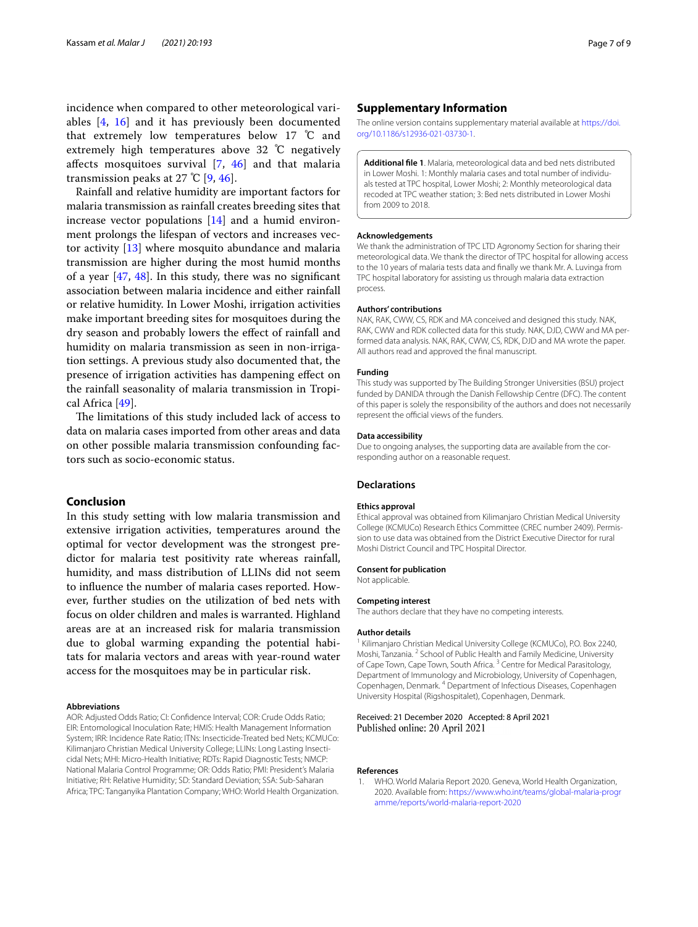incidence when compared to other meteorological variables [[4,](#page-7-39) [16\]](#page-7-10) and it has previously been documented that extremely low temperatures below 17 ℃ and extremely high temperatures above 32 ℃ negatively afects mosquitoes survival [[7,](#page-7-1) [46\]](#page-8-0) and that malaria transmission peaks at 27 °C  $[9, 46]$  $[9, 46]$  $[9, 46]$  $[9, 46]$ .

Rainfall and relative humidity are important factors for malaria transmission as rainfall creates breeding sites that increase vector populations [[14\]](#page-7-8) and a humid environment prolongs the lifespan of vectors and increases vector activity [\[13\]](#page-7-7) where mosquito abundance and malaria transmission are higher during the most humid months of a year  $[47, 48]$  $[47, 48]$  $[47, 48]$  $[47, 48]$ . In this study, there was no significant association between malaria incidence and either rainfall or relative humidity. In Lower Moshi, irrigation activities make important breeding sites for mosquitoes during the dry season and probably lowers the efect of rainfall and humidity on malaria transmission as seen in non-irrigation settings. A previous study also documented that, the presence of irrigation activities has dampening efect on the rainfall seasonality of malaria transmission in Tropical Africa [\[49](#page-8-3)].

The limitations of this study included lack of access to data on malaria cases imported from other areas and data on other possible malaria transmission confounding factors such as socio-economic status.

# **Conclusion**

In this study setting with low malaria transmission and extensive irrigation activities, temperatures around the optimal for vector development was the strongest predictor for malaria test positivity rate whereas rainfall, humidity, and mass distribution of LLINs did not seem to infuence the number of malaria cases reported. However, further studies on the utilization of bed nets with focus on older children and males is warranted. Highland areas are at an increased risk for malaria transmission due to global warming expanding the potential habitats for malaria vectors and areas with year-round water access for the mosquitoes may be in particular risk.

#### **Abbreviations**

AOR: Adjusted Odds Ratio; CI: Confdence Interval; COR: Crude Odds Ratio; EIR: Entomological Inoculation Rate; HMIS: Health Management Information System; IRR: Incidence Rate Ratio; ITNs: Insecticide-Treated bed Nets; KCMUCo: Kilimanjaro Christian Medical University College; LLINs: Long Lasting Insecticidal Nets; MHI: Micro-Health Initiative; RDTs: Rapid Diagnostic Tests; NMCP: National Malaria Control Programme; OR: Odds Ratio; PMI: President's Malaria Initiative; RH: Relative Humidity; SD: Standard Deviation; SSA: Sub-Saharan Africa; TPC: Tanganyika Plantation Company; WHO: World Health Organization.

# **Supplementary Information**

The online version contains supplementary material available at [https://doi.](https://doi.org/10.1186/s12936-021-03730-1) [org/10.1186/s12936-021-03730-1](https://doi.org/10.1186/s12936-021-03730-1).

<span id="page-6-1"></span>**Additional fle 1**. Malaria, meteorological data and bed nets distributed in Lower Moshi. 1: Monthly malaria cases and total number of individuals tested at TPC hospital, Lower Moshi; 2: Monthly meteorological data recoded at TPC weather station; 3: Bed nets distributed in Lower Moshi from 2009 to 2018.

# **Acknowledgements**

We thank the administration of TPC LTD Agronomy Section for sharing their meteorological data. We thank the director of TPC hospital for allowing access to the 10 years of malaria tests data and fnally we thank Mr. A. Luvinga from TPC hospital laboratory for assisting us through malaria data extraction process.

#### **Authors' contributions**

NAK, RAK, CWW, CS, RDK and MA conceived and designed this study. NAK, RAK, CWW and RDK collected data for this study. NAK, DJD, CWW and MA performed data analysis. NAK, RAK, CWW, CS, RDK, DJD and MA wrote the paper. All authors read and approved the fnal manuscript.

#### **Funding**

This study was supported by The Building Stronger Universities (BSU) project funded by DANIDA through the Danish Fellowship Centre (DFC). The content of this paper is solely the responsibility of the authors and does not necessarily represent the official views of the funders.

# **Data accessibility**

Due to ongoing analyses, the supporting data are available from the corresponding author on a reasonable request.

# **Declarations**

# **Ethics approval**

Ethical approval was obtained from Kilimanjaro Christian Medical University College (KCMUCo) Research Ethics Committee (CREC number 2409). Permission to use data was obtained from the District Executive Director for rural Moshi District Council and TPC Hospital Director.

#### **Consent for publication**

Not applicable.

#### **Competing interest**

The authors declare that they have no competing interests.

### **Author details**

<sup>1</sup> Kilimanjaro Christian Medical University College (KCMUCo), P.O. Box 2240, Moshi, Tanzania. <sup>2</sup> School of Public Health and Family Medicine, University of Cape Town, Cape Town, South Africa.<sup>3</sup> Centre for Medical Parasitology, Department of Immunology and Microbiology, University of Copenhagen, Copenhagen, Denmark. 4 Department of Infectious Diseases, Copenhagen University Hospital (Rigshospitalet), Copenhagen, Denmark.

# Received: 21 December 2020 Accepted: 8 April 2021 Published online: 20 April 2021

#### **References**

<span id="page-6-0"></span>1. WHO. World Malaria Report 2020. Geneva, World Health Organization, 2020. Available from: [https://www.who.int/teams/global-malaria-progr](https://www.who.int/teams/global-malaria-programme/reports/world-malaria-report-2020) [amme/reports/world-malaria-report-2020](https://www.who.int/teams/global-malaria-programme/reports/world-malaria-report-2020)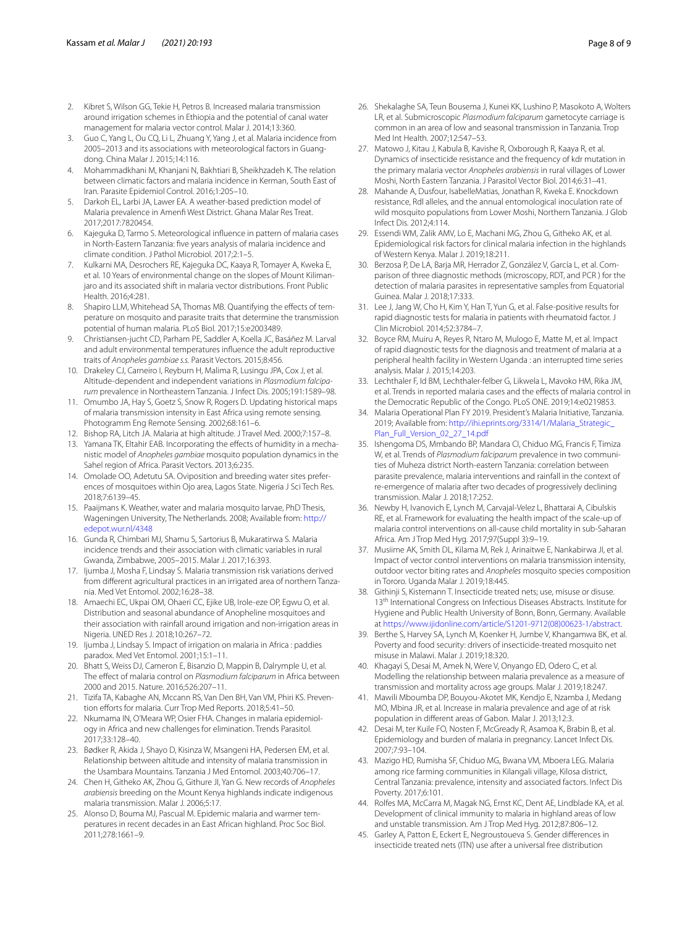- <span id="page-7-0"></span>2. Kibret S, Wilson GG, Tekie H, Petros B. Increased malaria transmission around irrigation schemes in Ethiopia and the potential of canal water management for malaria vector control. Malar J. 2014;13:360.
- 3. Guo C, Yang L, Ou CQ, Li L, Zhuang Y, Yang J, et al. Malaria incidence from 2005–2013 and its associations with meteorological factors in Guangdong. China Malar J. 2015;14:116.
- <span id="page-7-39"></span>4. Mohammadkhani M, Khanjani N, Bakhtiari B, Sheikhzadeh K. The relation between climatic factors and malaria incidence in Kerman, South East of Iran. Parasite Epidemiol Control. 2016;1:205–10.
- 5. Darkoh EL, Larbi JA, Lawer EA. A weather-based prediction model of Malaria prevalence in Amenf West District. Ghana Malar Res Treat. 2017;2017:7820454.
- 6. Kajeguka D, Tarmo S. Meteorological infuence in pattern of malaria cases in North-Eastern Tanzania: fve years analysis of malaria incidence and climate condition. J Pathol Microbiol. 2017;2:1–5.
- <span id="page-7-1"></span>7. Kulkarni MA, Desrochers RE, Kajeguka DC, Kaaya R, Tomayer A, Kweka E, et al. 10 Years of environmental change on the slopes of Mount Kilimanjaro and its associated shift in malaria vector distributions. Front Public Health. 2016;4:281.
- <span id="page-7-2"></span>8. Shapiro LLM, Whitehead SA, Thomas MB. Quantifying the effects of temperature on mosquito and parasite traits that determine the transmission potential of human malaria. PLoS Biol. 2017;15:e2003489.
- <span id="page-7-3"></span>9. Christiansen-jucht CD, Parham PE, Saddler A, Koella JC, Basáñez M. Larval and adult environmental temperatures infuence the adult reproductive traits of *Anopheles gambiae s.s.* Parasit Vectors. 2015;8:456.
- <span id="page-7-4"></span>10. Drakeley CJ, Carneiro I, Reyburn H, Malima R, Lusingu JPA, Cox J, et al. Altitude-dependent and independent variations in *Plasmodium falciparum* prevalence in Northeastern Tanzania. J Infect Dis. 2005;191:1589–98.
- <span id="page-7-5"></span>11. Omumbo JA, Hay S, Goetz S, Snow R, Rogers D. Updating historical maps of malaria transmission intensity in East Africa using remote sensing. Photogramm Eng Remote Sensing. 2002;68:161–6.
- <span id="page-7-6"></span>12. Bishop RA, Litch JA. Malaria at high altitude. J Travel Med. 2000;7:157–8.
- <span id="page-7-7"></span>13. Yamana TK, Eltahir EAB. Incorporating the effects of humidity in a mechanistic model of *Anopheles gambiae* mosquito population dynamics in the Sahel region of Africa. Parasit Vectors. 2013;6:235.
- <span id="page-7-8"></span>14. Omolade OO, Adetutu SA. Oviposition and breeding water sites preferences of mosquitoes within Ojo area, Lagos State. Nigeria J Sci Tech Res. 2018;7:6139–45.
- <span id="page-7-9"></span>15. Paaijmans K. Weather, water and malaria mosquito larvae, PhD Thesis, Wageningen University, The Netherlands. 2008; Available from: [http://](http://edepot.wur.nl/4348) [edepot.wur.nl/4348](http://edepot.wur.nl/4348)
- <span id="page-7-10"></span>16. Gunda R, Chimbari MJ, Shamu S, Sartorius B, Mukaratirwa S. Malaria incidence trends and their association with climatic variables in rural Gwanda, Zimbabwe, 2005–2015. Malar J. 2017;16:393.
- <span id="page-7-11"></span>17. Ijumba J, Mosha F, Lindsay S. Malaria transmission risk variations derived from diferent agricultural practices in an irrigated area of northern Tanzania. Med Vet Entomol. 2002;16:28–38.
- <span id="page-7-12"></span>18. Amaechi EC, Ukpai OM, Ohaeri CC, Ejike UB, Irole-eze OP, Egwu O, et al. Distribution and seasonal abundance of Anopheline mosquitoes and their association with rainfall around irrigation and non-irrigation areas in Nigeria. UNED Res J. 2018;10:267–72.
- <span id="page-7-13"></span>19. Ijumba J, Lindsay S. Impact of irrigation on malaria in Africa : paddies paradox. Med Vet Entomol. 2001;15:1–11.
- <span id="page-7-14"></span>20. Bhatt S, Weiss DJ, Cameron E, Bisanzio D, Mappin B, Dalrymple U, et al. The efect of malaria control on *Plasmodium falciparum* in Africa between 2000 and 2015. Nature. 2016;526:207–11.
- <span id="page-7-28"></span>21. Tizifa TA, Kabaghe AN, Mccann RS, Van Den BH, Van VM, Phiri KS. Prevention efforts for malaria. Curr Trop Med Reports. 2018;5:41-50.
- <span id="page-7-15"></span>22. Nkumama IN, O'Meara WP, Osier FHA. Changes in malaria epidemiology in Africa and new challenges for elimination. Trends Parasitol. 2017;33:128–40.
- <span id="page-7-16"></span>23. Bødker R, Akida J, Shayo D, Kisinza W, Msangeni HA, Pedersen EM, et al. Relationship between altitude and intensity of malaria transmission in the Usambara Mountains. Tanzania J Med Entomol. 2003;40:706–17.
- 24. Chen H, Githeko AK, Zhou G, Githure JI, Yan G. New records of *Anopheles arabiensis* breeding on the Mount Kenya highlands indicate indigenous malaria transmission. Malar J. 2006;5:17.
- <span id="page-7-17"></span>25. Alonso D, Bouma MJ, Pascual M. Epidemic malaria and warmer temperatures in recent decades in an East African highland. Proc Soc Biol. 2011;278:1661–9.
- <span id="page-7-18"></span>26. Shekalaghe SA, Teun Bousema J, Kunei KK, Lushino P, Masokoto A, Wolters LR, et al. Submicroscopic *Plasmodium falciparum* gametocyte carriage is common in an area of low and seasonal transmission in Tanzania. Trop Med Int Health. 2007;12:547–53.
- <span id="page-7-19"></span>27. Matowo J, Kitau J, Kabula B, Kavishe R, Oxborough R, Kaaya R, et al. Dynamics of insecticide resistance and the frequency of kdr mutation in the primary malaria vector *Anopheles arabiensis* in rural villages of Lower Moshi, North Eastern Tanzania. J Parasitol Vector Biol. 2014;6:31–41.
- <span id="page-7-20"></span>28. Mahande A, Dusfour, IsabelleMatias, Jonathan R, Kweka E. Knockdown resistance, Rdl alleles, and the annual entomological inoculation rate of wild mosquito populations from Lower Moshi, Northern Tanzania. J Glob Infect Dis. 2012;4:114.
- <span id="page-7-21"></span>29. Essendi WM, Zalik AMV, Lo E, Machani MG, Zhou G, Githeko AK, et al. Epidemiological risk factors for clinical malaria infection in the highlands of Western Kenya. Malar J. 2019;18:211.
- <span id="page-7-22"></span>30. Berzosa P, De LA, Barja MR, Herrador Z, González V, García L, et al. Comparison of three diagnostic methods (microscopy, RDT, and PCR ) for the detection of malaria parasites in representative samples from Equatorial Guinea. Malar J. 2018;17:333.
- <span id="page-7-23"></span>31. Lee J, Jang W, Cho H, Kim Y, Han T, Yun G, et al. False-positive results for rapid diagnostic tests for malaria in patients with rheumatoid factor. J Clin Microbiol. 2014;52:3784–7.
- <span id="page-7-24"></span>32. Boyce RM, Muiru A, Reyes R, Ntaro M, Mulogo E, Matte M, et al. Impact of rapid diagnostic tests for the diagnosis and treatment of malaria at a peripheral health facility in Western Uganda : an interrupted time series analysis. Malar J. 2015;14:203.
- <span id="page-7-25"></span>33. Lechthaler F, Id BM, Lechthaler-felber G, Likwela L, Mavoko HM, Rika JM, et al. Trends in reported malaria cases and the efects of malaria control in the Democratic Republic of the Congo. PLoS ONE. 2019;14:e0219853.
- <span id="page-7-26"></span>34. Malaria Operational Plan FY 2019. President's Malaria Initiative, Tanzania. 2019; Available from: [http://ihi.eprints.org/3314/1/Malaria\\_Strategic\\_](http://ihi.eprints.org/3314/1/Malaria_Strategic_Plan_Full_Version_02_27_14.pdf) [Plan\\_Full\\_Version\\_02\\_27\\_14.pdf](http://ihi.eprints.org/3314/1/Malaria_Strategic_Plan_Full_Version_02_27_14.pdf)
- <span id="page-7-27"></span>35. Ishengoma DS, Mmbando BP, Mandara CI, Chiduo MG, Francis F, Timiza W, et al. Trends of *Plasmodium falciparum* prevalence in two communities of Muheza district North-eastern Tanzania: correlation between parasite prevalence, malaria interventions and rainfall in the context of re-emergence of malaria after two decades of progressively declining transmission. Malar J. 2018;17:252.
- <span id="page-7-29"></span>36. Newby H, Ivanovich E, Lynch M, Carvajal-Velez L, Bhattarai A, Cibulskis RE, et al. Framework for evaluating the health impact of the scale-up of malaria control interventions on all-cause child mortality in sub-Saharan Africa. Am J Trop Med Hyg. 2017;97(Suppl 3):9–19.
- <span id="page-7-30"></span>37. Musiime AK, Smith DL, Kilama M, Rek J, Arinaitwe E, Nankabirwa JI, et al. Impact of vector control interventions on malaria transmission intensity, outdoor vector biting rates and *Anopheles* mosquito species composition in Tororo. Uganda Malar J. 2019;18:445.
- <span id="page-7-31"></span>38. Githinji S, Kistemann T. Insecticide treated nets; use, misuse or disuse. 13<sup>th</sup> International Congress on Infectious Diseases Abstracts. Institute for Hygiene and Public Health University of Bonn, Bonn, Germany. Available at [https://www.ijidonline.com/article/S1201-9712\(08\)00623-1/abstract.](https://www.ijidonline.com/article/S1201-9712(08)00623-1/abstract)
- <span id="page-7-32"></span>39. Berthe S, Harvey SA, Lynch M, Koenker H, Jumbe V, Khangamwa BK, et al. Poverty and food security: drivers of insecticide-treated mosquito net misuse in Malawi. Malar J. 2019;18:320.
- <span id="page-7-33"></span>40. Khagayi S, Desai M, Amek N, Were V, Onyango ED, Odero C, et al. Modelling the relationship between malaria prevalence as a measure of transmission and mortality across age groups. Malar J. 2019;18:247.
- <span id="page-7-34"></span>41. Mawili Mboumba DP, Bouyou-Akotet MK, Kendjo E, Nzamba J, Medang MO, Mbina JR, et al. Increase in malaria prevalence and age of at risk population in diferent areas of Gabon. Malar J. 2013;12:3.
- <span id="page-7-35"></span>42. Desai M, ter Kuile FO, Nosten F, McGready R, Asamoa K, Brabin B, et al. Epidemiology and burden of malaria in pregnancy. Lancet Infect Dis. 2007;7:93–104.
- <span id="page-7-36"></span>43. Mazigo HD, Rumisha SF, Chiduo MG, Bwana VM, Mboera LEG. Malaria among rice farming communities in Kilangali village, Kilosa district, Central Tanzania: prevalence, intensity and associated factors. Infect Dis Poverty. 2017;6:101.
- <span id="page-7-37"></span>44. Rolfes MA, McCarra M, Magak NG, Ernst KC, Dent AE, Lindblade KA, et al. Development of clinical immunity to malaria in highland areas of low and unstable transmission. Am J Trop Med Hyg. 2012;87:806–12.
- <span id="page-7-38"></span>45. Garley A, Patton E, Eckert E, Negroustoueva S. Gender diferences in insecticide treated nets (ITN) use after a universal free distribution